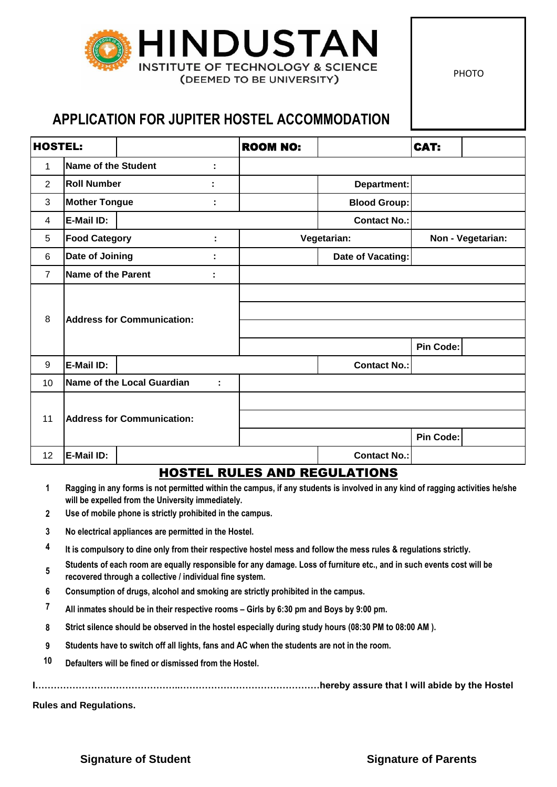

PHOTO

## **APPLICATION FOR JUPITER HOSTEL ACCOMMODATION**

| <b>HOSTEL:</b> |                                   |  |   | <b>ROOM NO:</b> |                     | CAT:              |  |
|----------------|-----------------------------------|--|---|-----------------|---------------------|-------------------|--|
| 1              | <b>Name of the Student</b><br>÷   |  |   |                 |                     |                   |  |
| $\overline{2}$ | <b>Roll Number</b><br>٠           |  |   |                 | Department:         |                   |  |
| 3              | <b>Mother Tongue</b>              |  | t |                 | <b>Blood Group:</b> |                   |  |
| 4              | E-Mail ID:                        |  |   |                 | Contact No.:        |                   |  |
| 5              | <b>Food Category</b>              |  | ÷ |                 | Vegetarian:         | Non - Vegetarian: |  |
| 6              | Date of Joining                   |  | t |                 | Date of Vacating:   |                   |  |
| $\overline{7}$ | Name of the Parent                |  |   |                 |                     |                   |  |
|                | <b>Address for Communication:</b> |  |   |                 |                     |                   |  |
| 8              |                                   |  |   |                 |                     |                   |  |
|                |                                   |  |   |                 |                     |                   |  |
|                |                                   |  |   |                 |                     | Pin Code:         |  |
| 9              | E-Mail ID:                        |  |   |                 | <b>Contact No.:</b> |                   |  |
| 10             | Name of the Local Guardian<br>t   |  |   |                 |                     |                   |  |
|                | <b>Address for Communication:</b> |  |   |                 |                     |                   |  |
| 11             |                                   |  |   |                 |                     |                   |  |
|                |                                   |  |   |                 |                     | Pin Code:         |  |
| 12             | E-Mail ID:                        |  |   |                 | <b>Contact No.:</b> |                   |  |

## HOSTEL RULES AND REGULATIONS

- **1 Ragging in any forms is not permitted within the campus, if any students is involved in any kind of ragging activities he/she will be expelled from the University immediately.**
- **2 Use of mobile phone is strictly prohibited in the campus.**
- **3 No electrical appliances are permitted in the Hostel.**
- **4 It is compulsory to dine only from their respective hostel mess and follow the mess rules & regulations strictly.**
- **5 Students of each room are equally responsible for any damage. Loss of furniture etc., and in such events cost will be recovered through a collective / individual fine system.**
- **6 Consumption of drugs, alcohol and smoking are strictly prohibited in the campus.**
- **7 All inmates should be in their respective rooms – Girls by 6:30 pm and Boys by 9:00 pm.**
- **8 Strict silence should be observed in the hostel especially during study hours (08:30 PM to 08:00 AM ).**
- **9 Students have to switch off all lights, fans and AC when the students are not in the room.**
- **10 Defaulters will be fined or dismissed from the Hostel.**

**I………………………………………..………………………………………hereby assure that I will abide by the Hostel** 

**Rules and Regulations.**

**Signature of Student Signature of Parents**